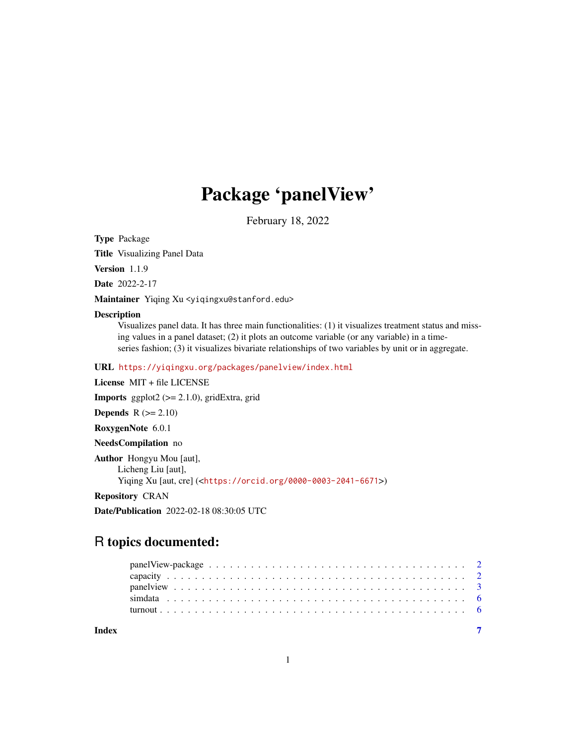# Package 'panelView'

February 18, 2022

Type Package

Title Visualizing Panel Data

Version 1.1.9

Date 2022-2-17

Maintainer Yiqing Xu < yiqingxu@stanford.edu>

#### Description

Visualizes panel data. It has three main functionalities: (1) it visualizes treatment status and missing values in a panel dataset; (2) it plots an outcome variable (or any variable) in a timeseries fashion; (3) it visualizes bivariate relationships of two variables by unit or in aggregate.

URL <https://yiqingxu.org/packages/panelview/index.html>

License MIT + file LICENSE

Imports ggplot2 (>= 2.1.0), gridExtra, grid

**Depends**  $R$  ( $>= 2.10$ )

RoxygenNote 6.0.1

NeedsCompilation no

Author Hongyu Mou [aut], Licheng Liu [aut], Yiqing Xu [aut, cre] (<<https://orcid.org/0000-0003-2041-6671>>)

Repository CRAN

Date/Publication 2022-02-18 08:30:05 UTC

# R topics documented:

| Index |  |
|-------|--|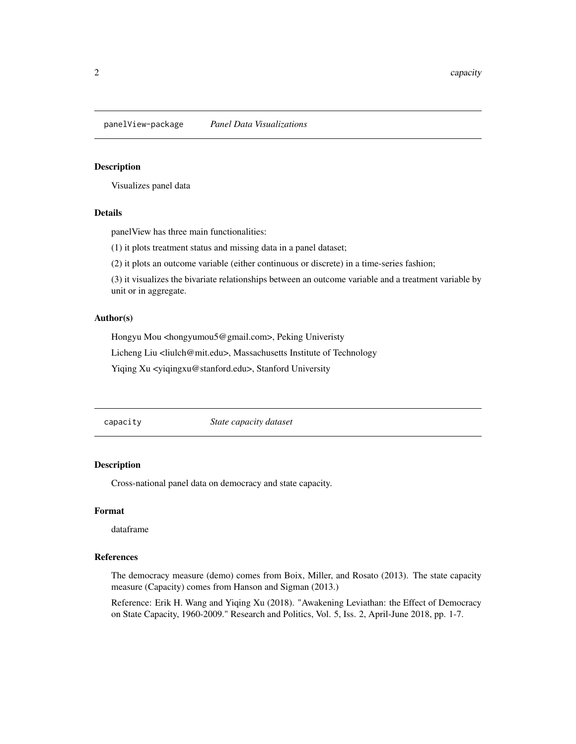<span id="page-1-0"></span>panelView-package *Panel Data Visualizations*

#### Description

Visualizes panel data

#### Details

panelView has three main functionalities:

(1) it plots treatment status and missing data in a panel dataset;

(2) it plots an outcome variable (either continuous or discrete) in a time-series fashion;

(3) it visualizes the bivariate relationships between an outcome variable and a treatment variable by unit or in aggregate.

#### Author(s)

Hongyu Mou <hongyumou5@gmail.com>, Peking Univeristy

Licheng Liu <liulch@mit.edu>, Massachusetts Institute of Technology

Yiqing Xu <yiqingxu@stanford.edu>, Stanford University

capacity *State capacity dataset*

# Description

Cross-national panel data on democracy and state capacity.

# Format

dataframe

# References

The democracy measure (demo) comes from Boix, Miller, and Rosato (2013). The state capacity measure (Capacity) comes from Hanson and Sigman (2013.)

Reference: Erik H. Wang and Yiqing Xu (2018). "Awakening Leviathan: the Effect of Democracy on State Capacity, 1960-2009." Research and Politics, Vol. 5, Iss. 2, April-June 2018, pp. 1-7.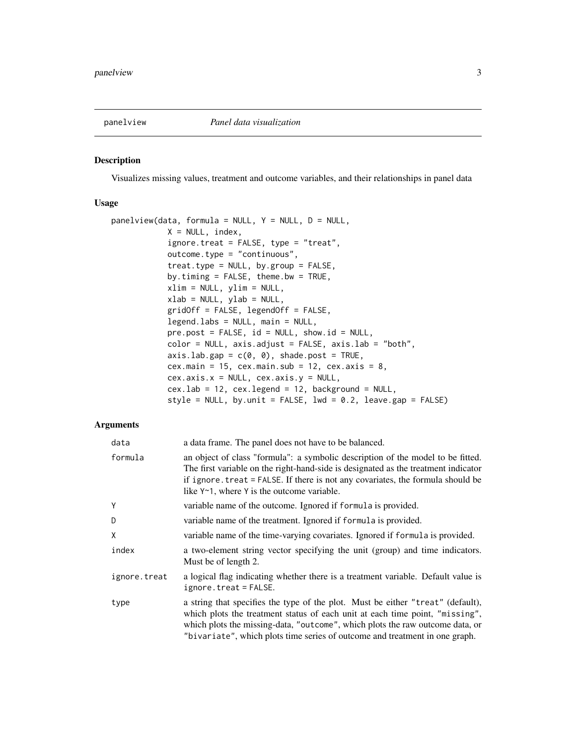<span id="page-2-0"></span>

#### Description

Visualizes missing values, treatment and outcome variables, and their relationships in panel data

# Usage

```
panelview(data, formula = NULL, Y = NULL, D = NULL,X = NULL, index,ignore.treat = FALSE, type = "treat",
            outcome.type = "continuous",
            treat.type = NULL, by.group = FALSE,by.timing = FALSE, theme.bw = TRUE,
            xlim = NULL, ylim = NULL,
            xlab = NULL, ylab = NULL,gridOff = FALSE, legendOff = FALSE,
            legend.labs = NULL, main = NULL,
            pre.post = FALSE, id = NULL, show.id = NULL,
            color = NULL, axis.adjust = FALSE, axis.lab = "both",
            axis.lab.gap = c(0, 0), shade.post = TRUE,
            cex.main = 15, cex.main.sub = 12, cex.axis = 8,
            cex.axis.x = NULL, cex.axis.y = NULL,cex.1ab = 12, cex.1egend = 12, background = NULL,
            style = NULL, by.unit = FALSE, lwd = 0.2, leave.gap = FALSE)
```
# Arguments

| data         | a data frame. The panel does not have to be balanced.                                                                                                                                                                                                                                                                           |
|--------------|---------------------------------------------------------------------------------------------------------------------------------------------------------------------------------------------------------------------------------------------------------------------------------------------------------------------------------|
| formula      | an object of class "formula": a symbolic description of the model to be fitted.<br>The first variable on the right-hand-side is designated as the treatment indicator<br>if ignore. treat = FALSE. If there is not any covariates, the formula should be<br>like $Y \sim 1$ , where Y is the outcome variable.                  |
| Y            | variable name of the outcome. Ignored if formula is provided.                                                                                                                                                                                                                                                                   |
| D            | variable name of the treatment. Ignored if formula is provided.                                                                                                                                                                                                                                                                 |
| Χ            | variable name of the time-varying covariates. Ignored if formula is provided.                                                                                                                                                                                                                                                   |
| index        | a two-element string vector specifying the unit (group) and time indicators.<br>Must be of length 2.                                                                                                                                                                                                                            |
| ignore.treat | a logical flag indicating whether there is a treatment variable. Default value is<br>$ignore. treat = FALSE.$                                                                                                                                                                                                                   |
| type         | a string that specifies the type of the plot. Must be either "treat" (default),<br>which plots the treatment status of each unit at each time point, "missing",<br>which plots the missing-data, "outcome", which plots the raw outcome data, or<br>"bivariate", which plots time series of outcome and treatment in one graph. |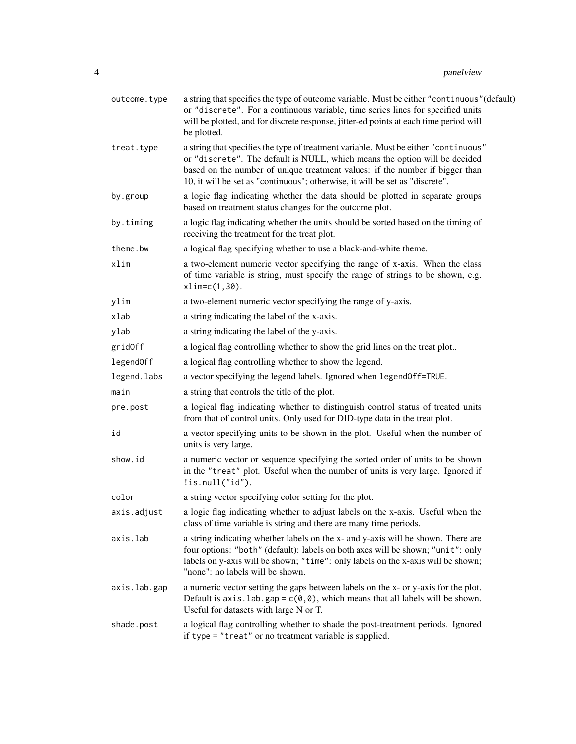| outcome.type | a string that specifies the type of outcome variable. Must be either "continuous" (default)<br>or "discrete". For a continuous variable, time series lines for specified units<br>will be plotted, and for discrete response, jitter-ed points at each time period will<br>be plotted.                                            |
|--------------|-----------------------------------------------------------------------------------------------------------------------------------------------------------------------------------------------------------------------------------------------------------------------------------------------------------------------------------|
| treat.type   | a string that specifies the type of treatment variable. Must be either "continuous"<br>or "discrete". The default is NULL, which means the option will be decided<br>based on the number of unique treatment values: if the number if bigger than<br>10, it will be set as "continuous"; otherwise, it will be set as "discrete". |
| by.group     | a logic flag indicating whether the data should be plotted in separate groups<br>based on treatment status changes for the outcome plot.                                                                                                                                                                                          |
| by.timing    | a logic flag indicating whether the units should be sorted based on the timing of<br>receiving the treatment for the treat plot.                                                                                                                                                                                                  |
| theme.bw     | a logical flag specifying whether to use a black-and-white theme.                                                                                                                                                                                                                                                                 |
| xlim         | a two-element numeric vector specifying the range of x-axis. When the class<br>of time variable is string, must specify the range of strings to be shown, e.g.<br>$xlim=c(1,30)$ .                                                                                                                                                |
| ylim         | a two-element numeric vector specifying the range of y-axis.                                                                                                                                                                                                                                                                      |
| xlab         | a string indicating the label of the x-axis.                                                                                                                                                                                                                                                                                      |
| ylab         | a string indicating the label of the y-axis.                                                                                                                                                                                                                                                                                      |
| gridOff      | a logical flag controlling whether to show the grid lines on the treat plot                                                                                                                                                                                                                                                       |
| legendOff    | a logical flag controlling whether to show the legend.                                                                                                                                                                                                                                                                            |
| legend.labs  | a vector specifying the legend labels. Ignored when legend0ff=TRUE.                                                                                                                                                                                                                                                               |
| main         | a string that controls the title of the plot.                                                                                                                                                                                                                                                                                     |
| pre.post     | a logical flag indicating whether to distinguish control status of treated units<br>from that of control units. Only used for DID-type data in the treat plot.                                                                                                                                                                    |
| id           | a vector specifying units to be shown in the plot. Useful when the number of<br>units is very large.                                                                                                                                                                                                                              |
| show.id      | a numeric vector or sequence specifying the sorted order of units to be shown<br>in the "treat" plot. Useful when the number of units is very large. Ignored if<br>$ $ is.null("id").                                                                                                                                             |
| color        | a string vector specifying color setting for the plot.                                                                                                                                                                                                                                                                            |
| axis.adjust  | a logic flag indicating whether to adjust labels on the x-axis. Useful when the<br>class of time variable is string and there are many time periods.                                                                                                                                                                              |
| axis.lab     | a string indicating whether labels on the x- and y-axis will be shown. There are<br>four options: "both" (default): labels on both axes will be shown; "unit": only<br>labels on y-axis will be shown; "time": only labels on the x-axis will be shown;<br>"none": no labels will be shown.                                       |
| axis.lab.gap | a numeric vector setting the gaps between labels on the x- or y-axis for the plot.<br>Default is $axis.$ lab.gap = $c(0,0)$ , which means that all labels will be shown.<br>Useful for datasets with large N or T.                                                                                                                |
| shade.post   | a logical flag controlling whether to shade the post-treatment periods. Ignored<br>if type = "treat" or no treatment variable is supplied.                                                                                                                                                                                        |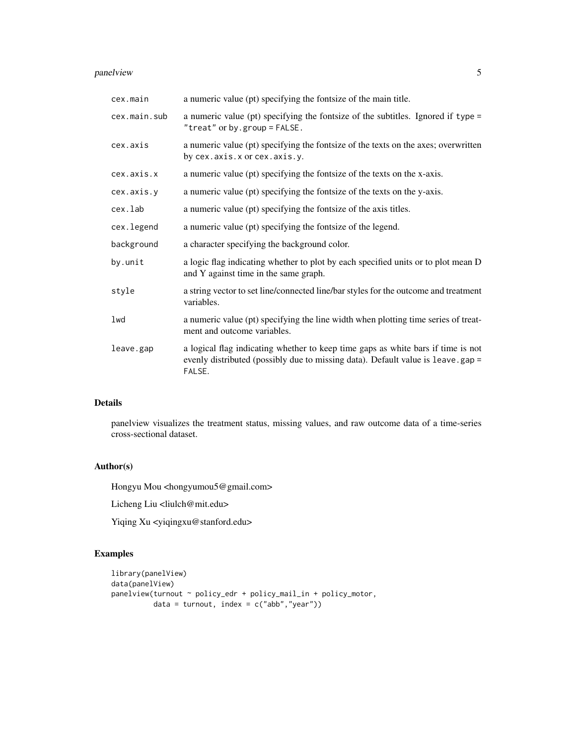# panelview 5

| cex.main     | a numeric value (pt) specifying the fontsize of the main title.                                                                                                               |
|--------------|-------------------------------------------------------------------------------------------------------------------------------------------------------------------------------|
| cex.main.sub | a numeric value (pt) specifying the fontsize of the subtitles. Ignored if type =<br>"treat" or by.group = FALSE.                                                              |
| cex.axis     | a numeric value (pt) specifying the fontsize of the texts on the axes; overwritten<br>by cex.axis.x or cex.axis.y.                                                            |
| cex.axis.x   | a numeric value (pt) specifying the fontsize of the texts on the x-axis.                                                                                                      |
| cex.axis.y   | a numeric value (pt) specifying the fontsize of the texts on the y-axis.                                                                                                      |
| cex.lab      | a numeric value (pt) specifying the fontsize of the axis titles.                                                                                                              |
| cex.legend   | a numeric value (pt) specifying the fontsize of the legend.                                                                                                                   |
| background   | a character specifying the background color.                                                                                                                                  |
| by.unit      | a logic flag indicating whether to plot by each specified units or to plot mean D<br>and Y against time in the same graph.                                                    |
| style        | a string vector to set line/connected line/bar styles for the outcome and treatment<br>variables.                                                                             |
| lwd          | a numeric value (pt) specifying the line width when plotting time series of treat-<br>ment and outcome variables.                                                             |
| leave.gap    | a logical flag indicating whether to keep time gaps as white bars if time is not<br>evenly distributed (possibly due to missing data). Default value is leave.gap =<br>FALSE. |

# Details

panelview visualizes the treatment status, missing values, and raw outcome data of a time-series cross-sectional dataset.

# Author(s)

Hongyu Mou <hongyumou5@gmail.com>

Licheng Liu <liulch@mit.edu>

Yiqing Xu <yiqingxu@stanford.edu>

# Examples

```
library(panelView)
data(panelView)
panelview(turnout ~ policy_edr + policy_mail_in + policy_motor,
         data = turnout, index = c("abb","year"))
```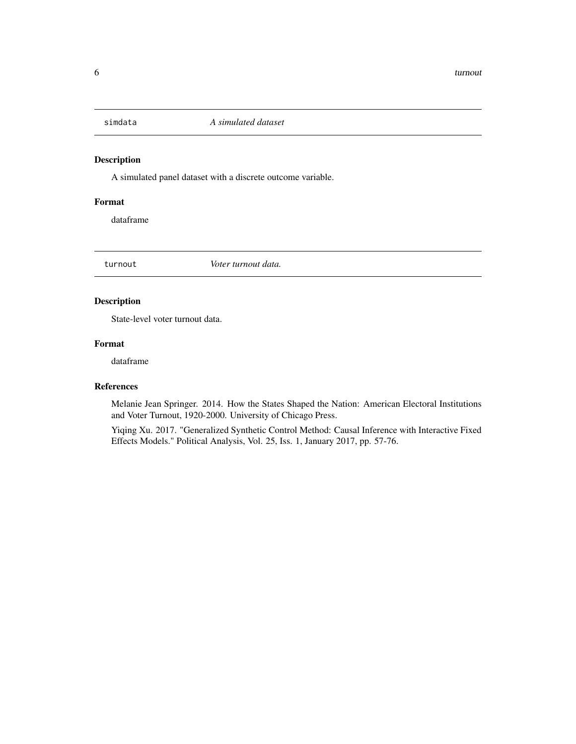<span id="page-5-0"></span>

# Description

A simulated panel dataset with a discrete outcome variable.

# Format

dataframe

turnout *Voter turnout data.*

# Description

State-level voter turnout data.

# Format

dataframe

# References

Melanie Jean Springer. 2014. How the States Shaped the Nation: American Electoral Institutions and Voter Turnout, 1920-2000. University of Chicago Press.

Yiqing Xu. 2017. "Generalized Synthetic Control Method: Causal Inference with Interactive Fixed Effects Models." Political Analysis, Vol. 25, Iss. 1, January 2017, pp. 57-76.